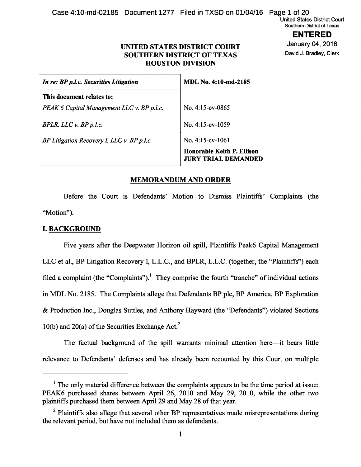Case 4:10-md-02185 Document 1277 Filed in TXSD on 01/04/16 Page 1 of 20

United States District Court Southern District of Texas

> **ENTERED**  January 04, 2016

David J. Bradley, Clerk

## **UNITED STATES DISTRICT COURT SOUTHERN DISTRICT OF TEXAS HOUSTON DIVISION**

| In re: BP p.l.c. Securities Litigation     | <b>MDL No. 4:10-md-2185</b>                                     |
|--------------------------------------------|-----------------------------------------------------------------|
| This document relates to:                  |                                                                 |
| PEAK 6 Capital Management LLC v. BP p.l.c. | No. $4:15$ -cv-0865                                             |
| BPLR, LLCv. BP p.l.c.                      | No. $4:15$ -cv- $1059$                                          |
| BP Litigation Recovery I, LLC v. BP p.l.c. | No. $4:15$ -cv- $1061$                                          |
|                                            | <b>Honorable Keith P. Ellison</b><br><b>JURY TRIAL DEMANDED</b> |

### **MEMORANDUM AND ORDER**

Before the Court is Defendants' Motion to Dismiss Plaintiffs' Complaints (the "Motion").

## **I. BACKGROUND**

Five years after the Deepwater Horizon oil spill, Plaintiffs Peak6 Capital Management LLC et al., BP Litigation Recovery I, L.L.C., and BPLR, L.L.C. (together, the "Plaintiffs") each filed a complaint (the "Complaints").<sup>1</sup> They comprise the fourth "tranche" of individual actions in MDL No. 2185. The Complaints allege that Defendants BP plc, BP America, BP Exploration & Production Inc., Douglas Suttles, and Anthony Hayward (the "Defendants") violated Sections 10(b) and 20(a) of the Securities Exchange Act.<sup>2</sup>

The factual background of the spill warrants minimal attention here—it bears little relevance to Defendants' defenses and has already been recounted by this Court on multiple

<sup>&</sup>lt;sup>1</sup> The only material difference between the complaints appears to be the time period at issue: PEAK6 purchased shares between April 26, 2010 and May 29, 2010, while the other two plaintiffs purchased them between April 29 and May 28 of that year.

 $2$  Plaintiffs also allege that several other BP representatives made misrepresentations during the relevant period, but have not included them as defendants.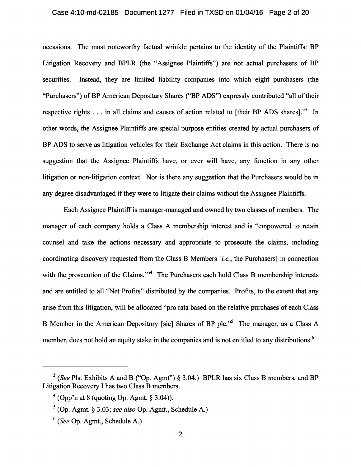### Case 4:10-md-02185 Document 1277 Filed in TXSD on 01/04/16 Page 2 of 20

occasions. The most noteworthy factual wrinkle pertains to the identity of the Plaintiffs: BP Litigation Recovery and BPLR (the "Assignee Plaintiffs") are not actual purchasers of BP securities. Instead, they are limited liability companies into which eight purchasers (the "Purchasers") of BP American Depositary Shares ("BP ADS") expressly contributed "all of their respective rights  $\ldots$  in all claims and causes of action related to [their BP ADS shares]."<sup>3</sup> In other words, the Assignee Plaintiffs are special purpose entities created by actual purchasers of BP ADS to serve as litigation vehicles for their Exchange Act claims in this action. There is no suggestion that the Assignee Plaintiffs have, or ever will have, any function in any other litigation or non-litigation context. Nor is there any suggestion that the Purchasers would be in any degree disadvantaged if they were to litigate their claims without the Assignee Plaintiffs.

Each Assignee Plaintiff is manager-managed and owned by two classes of members. The manager of each company holds a Class A membership interest and is "empowered to retain counsel and take the actions necessary and appropriate to prosecute the claims, including coordinating discovery requested from the Class B Members [ *i.e.* , the Purchasers] in connection with the prosecution of the Claims."<sup>4</sup> The Purchasers each hold Class B membership interests and are entitled to all "Net Profits" distributed by the companies. Profits, to the extent that any arise from this litigation, will be allocated "pro rata based on the relative purchases of each Class B Member in the American Depository [sic] Shares of BP plc."<sup>5</sup> The manager, as a Class A member, does not hold an equity stake in the companies and is not entitled to any distributions. <sup>6</sup>

<sup>&</sup>lt;sup>3</sup> (*See* Pls. Exhibits A and B ("Op. Agmt") § 3.04.) BPLR has six Class B members, and BP Litigation Recovery I has two Class B members.

 $4$  (Opp'n at 8 (quoting Op. Agmt. § 3.04)).

 $<sup>5</sup>$  (Op. Agmt. § 3.03; *see also* Op. Agmt., Schedule A.)</sup>

<sup>6</sup>(*See* Op. Agmt., Schedule A.)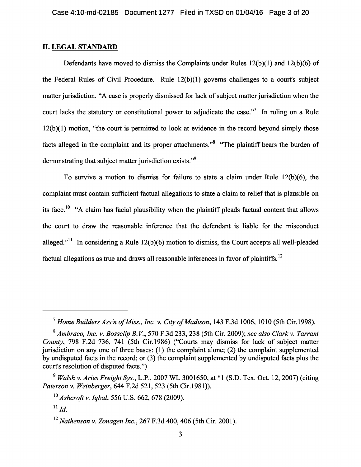## **II. LEGAL STANDARD**

Defendants have moved to dismiss the Complaints under Rules 12(b)(1) and 12(b)(6) of the Federal Rules of Civil Procedure. Rule 12(b)(1) governs challenges to a court's subject matter jurisdiction. "A case is properly dismissed for lack of subject matter jurisdiction when the court lacks the statutory or constitutional power to adjudicate the case."<sup>7</sup> In ruling on a Rule 12(b)(1) motion, "the court is permitted to look at evidence in the record beyond simply those facts alleged in the complaint and its proper attachments."<sup>8</sup> "The plaintiff bears the burden of demonstrating that subject matter jurisdiction exists."<sup>9</sup>

To survive a motion to dismiss for failure to state a claim under Rule 12(b)(6), the complaint must contain sufficient factual allegations to state a claim to relief that is plausible on its face.<sup>10</sup> "A claim has facial plausibility when the plaintiff pleads factual content that allows the court to draw the reasonable inference that the defendant is liable for the misconduct alleged."<sup>11</sup> In considering a Rule  $12(b)(6)$  motion to dismiss, the Court accepts all well-pleaded factual allegations as true and draws all reasonable inferences in favor of plaintiffs.<sup>12</sup>

<sup>&</sup>lt;sup>7</sup> Home Builders Ass'n of Miss., Inc. v. City of Madison, 143 F.3d 1006, 1010 (5th Cir.1998).

<sup>8</sup>*Ambraco, Inc. v. Bossclip B.V.* , 570 F.3d 233, 238 (5th Cir. 2009); *see also Clark v. Tarrant County* , 798 F.2d 736, 741 (5th Cir.1986) ("Courts may dismiss for lack of subject matter jurisdiction on any one of three bases: (1) the complaint alone; (2) the complaint supplemented by undisputed facts in the record; or (3) the complaint supplemented by undisputed facts plus the court's resolution of disputed facts.")

<sup>9</sup>*Walsh v. Aries Freight Sys.* , L.P., 2007 WL 3001650, at \*1 (S.D. Tex. Oct. 12, 2007) (citing *Paterson v. Weinberger*, 644 F.2d 521, 523 (5th Cir.1981)).

<sup>10</sup>*Ashcroft v. Iqbal* , 556 U.S. 662, 678 (2009).

 $^{11}$ *Id.* 

<sup>12</sup>*Nathenson v. Zonagen Inc.* , 267 F.3d 400, 406 (5th Cir. 2001).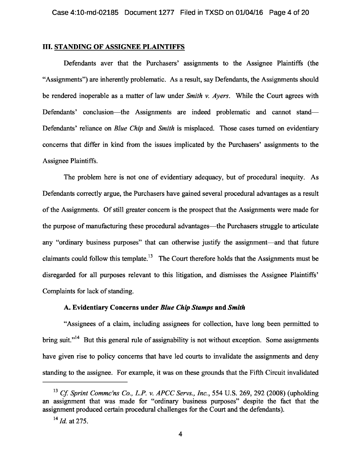### **III. STANDING OF ASSIGNEE PLAINTIFFS**

Defendants aver that the Purchasers' assignments to the Assignee Plaintiffs (the "Assignments") are inherently problematic. As a result, say Defendants, the Assignments should be rendered inoperable as a matter of law under *Smith v. Ayers* . While the Court agrees with Defendants' conclusion—the Assignments are indeed problematic and cannot stand— Defendants' reliance on *Blue Chip* and *Smith* is misplaced. Those cases turned on evidentiary concerns that differ in kind from the issues implicated by the Purchasers' assignments to the Assignee Plaintiffs.

The problem here is not one of evidentiary adequacy, but of procedural inequity. As Defendants correctly argue, the Purchasers have gained several procedural advantages as a result of the Assignments. Of still greater concern is the prospect that the Assignments were made for the purpose of manufacturing these procedural advantages—the Purchasers struggle to articulate any "ordinary business purposes" that can otherwise justify the assignment—and that future claimants could follow this template.<sup>13</sup> The Court therefore holds that the Assignments must be disregarded for all purposes relevant to this litigation, and dismisses the Assignee Plaintiffs' Complaints for lack of standing.

## **A. Evidentiary Concerns under** *Blue Chip Stamps* **and** *Smith*

"Assignees of a claim, including assignees for collection, have long been permitted to bring suit."<sup>14</sup> But this general rule of assignability is not without exception. Some assignments have given rise to policy concerns that have led courts to invalidate the assignments and deny standing to the assignee. For example, it was on these grounds that the Fifth Circuit invalidated

<sup>&</sup>lt;sup>13</sup> Cf. Sprint Commc'ns Co., L.P. v. APCC Servs., Inc., 554 U.S. 269, 292 (2008) (upholding an assignment that was made for "ordinary business purposes" despite the fact that the assignment produced certain procedural challenges for the Court and the defendants).

<sup>14</sup>*Id.* at 275.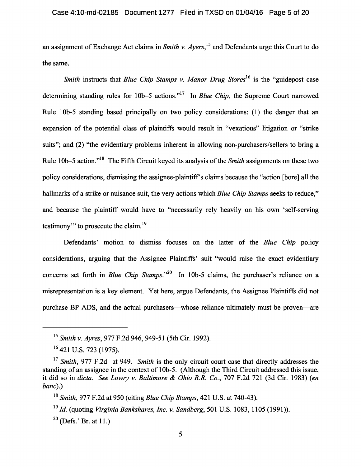an assignment of Exchange Act claims in *Smith v. Ayers* , 15 and Defendants urge this Court to do the same.

*Smith* instructs that *Blue Chip Stamps v. Manor Drug Stores*<sup>16</sup> is the "guidepost case determining standing rules for 10b–5 actions."<sup>17</sup> In *Blue Chip*, the Supreme Court narrowed Rule 10b-5 standing based principally on two policy considerations: (1) the danger that an expansion of the potential class of plaintiffs would result in "vexatious" litigation or "strike suits"; and (2) "the evidentiary problems inherent in allowing non-purchasers/sellers to bring a Rule 10b–5 action."<sup>18</sup> The Fifth Circuit keyed its analysis of the *Smith* assignments on these two policy considerations, dismissing the assignee-plaintiff's claims because the "action [bore] all the hallmarks of a strike or nuisance suit, the very actions which *Blue Chip Stamps* seeks to reduce," and because the plaintiff would have to "necessarily rely heavily on his own 'self-serving testimony" to prosecute the claim.<sup>19</sup>

Defendants' motion to dismiss focuses on the latter of the *Blue Chip* policy considerations, arguing that the Assignee Plaintiffs' suit "would raise the exact evidentiary concerns set forth in *Blue Chip Stamps*."<sup>20</sup> In 10b-5 claims, the purchaser's reliance on a misrepresentation is a key element. Yet here, argue Defendants, the Assignee Plaintiffs did not purchase BP ADS, and the actual purchasers—whose reliance ultimately must be proven—are

 $20$  (Defs.' Br. at 11.)

<sup>15</sup>*Smith v. Ayres* , 977 F.2d 946, 949-51 (5th Cir. 1992).

<sup>&</sup>lt;sup>16</sup> 421 U.S. 723 (1975).

<sup>&</sup>lt;sup>17</sup> Smith, 977 F.2d at 949. *Smith* is the only circuit court case that directly addresses the standing of an assignee in the context of 10b-5. (Although the Third Circuit addressed this issue, it did so in *dicta*. *See Lowry v. Baltimore & Ohio R.R. Co.* , 707 F.2d 721 (3d Cir. 1983) ( *en banc*).)

<sup>18</sup>*Smith* , 977 F.2d at 950 (citing *Blue Chip Stamps* , 421 U.S. at 740-43).

<sup>19</sup>*Id.* (quoting *Virginia Bankshares, Inc. v. Sandberg*, 501 U.S. 1083, 1105 (1991)).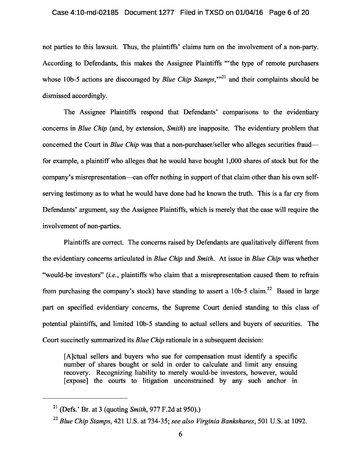#### Case 4:10-md-02185 Document 1277 Filed in TXSD on 01/04/16 Page 6 of 20

not parties to this lawsuit. Thus, the plaintiffs' claims turn on the involvement of a non-party. According to Defendants, this makes the Assignee Plaintiffs "'the type of remote purchasers whose 10b-5 actions are discouraged by *Blue Chip Stamps*,"<sup>21</sup> and their complaints should be dismissed accordingly.

The Assignee Plaintiffs respond that Defendants' comparisons to the evidentiary concerns in *Blue Chip* (and, by extension, *Smith* ) are inapposite. The evidentiary problem that concerned the Court in *Blue Chip* was that a non-purchaser/seller who alleges securities fraud for example, a plaintiff who alleges that he would have bought 1,000 shares of stock but for the company's misrepresentation—can offer nothing in support of that claim other than his own selfserving testimony as to what he would have done had he known the truth. This is a far cry from Defendants' argument, say the Assignee Plaintiffs, which is merely that the case will require the involvement of non-parties.

Plaintiffs are correct. The concerns raised by Defendants are qualitatively different from the evidentiary concerns articulated in *Blue Chip* and *Smith* . At issue in *Blue Chip* was whether "would-be investors" (i.e., plaintiffs who claim that a misrepresentation caused them to refrain from purchasing the company's stock) have standing to assert a 10b-5 claim.<sup>22</sup> Based in large part on specified evidentiary concerns, the Supreme Court denied standing to this class of potential plaintiffs, and limited 10b-5 standing to actual sellers and buyers of securities. The Court succinctly summarized its *Blue Chip* rationale in a subsequent decision:

[A]ctual sellers and buyers who sue for compensation must identify a specific number of shares bought or sold in order to calculate and limit any ensuing recovery. Recognizing liability to merely would-be investors, however, would [expose] the courts to litigation unconstrained by any such anchor in

<sup>21</sup>(Defs.' Br. at 3 (quoting *Smith* , 977 F.2d at 950).)

<sup>22</sup>*Blue Chip Stamps* , 421 U.S. at 734-35; *see also Virginia Bankshares*, 501 U.S. at 1092.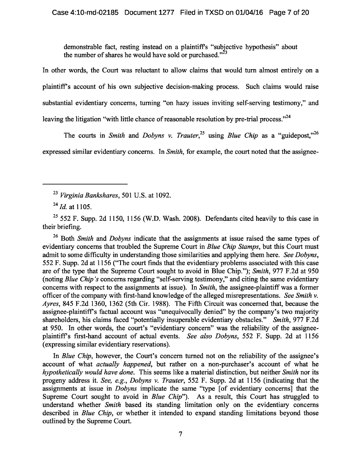demonstrable fact, resting instead on a plaintiff's "subjective hypothesis" about the number of shares he would have sold or purchased." $^{23}$ 

In other words, the Court was reluctant to allow claims that would turn almost entirely on a plaintiff's account of his own subjective decision-making process. Such claims would raise substantial evidentiary concerns, turning "on hazy issues inviting self-serving testimony," and leaving the litigation "with little chance of reasonable resolution by pre-trial process."<sup>24</sup>

The courts in *Smith* and *Dobyns v. Trauter*<sup>25</sup> using *Blue Chip* as a "guidepost,"<sup>26</sup> expressed similar evidentiary concerns. In *Smith*, for example, the court noted that the assignee-

<sup>23</sup>*Virginia Bankshares*, 501 U.S. at 1092.

<sup>24</sup>*Id.* at 1105.

 $25$  552 F. Supp. 2d 1150, 1156 (W.D. Wash. 2008). Defendants cited heavily to this case in their briefing.

<sup>26</sup> Both *Smith* and *Dobyns* indicate that the assignments at issue raised the same types of evidentiary concerns that troubled the Supreme Court in *Blue Chip Stamps* , but this Court must admit to some difficulty in understanding those similarities and applying them here. *See Dobyns* , 552 F. Supp. 2d at 1156 ("The court finds that the evidentiary problems associated with this case are of the type that the Supreme Court sought to avoid in Blue Chip."); *Smith*, 977 F.2d at 950 (noting *Blue Chip's* concerns regarding "self-serving testimony," and citing the same evidentiary concerns with respect to the assignments at issue). In *Smith*, the assignee-plaintiff was a former officer of the company with first-hand knowledge of the alleged misrepresentations. *See Smith v. Ayres*, 845 F.2d 1360, 1362 (5th Cir. 1988). The Fifth Circuit was concerned that, because the assignee-plaintiff's factual account was "unequivocally denied" by the company's two majority shareholders, his claims faced "potentially insuperable evidentiary obstacles." *Smith*, 977 F.2d at 950. In other words, the court's "evidentiary concern" was the reliability of the assigneeplaintiff's first-hand account of actual events. *See also Dobyns*, 552 F. Supp. 2d at 1156 (expressing similar evidentiary reservations).

In *Blue Chip*, however, the Court's concern turned not on the reliability of the assignee's account of what *actually happened*, but rather on a non-purchaser's account of what he *hypothetically would have done* . This seems like a material distinction, but neither *Smith* nor its progeny address it. *See, e.g.* , *Dobyns v. Trauter*, 552 F. Supp. 2d at 1156 (indicating that the assignments at issue in *Dobyns* implicate the same "type [of evidentiary concerns] that the Supreme Court sought to avoid in *Blue Chip*"). As a result, this Court has struggled to understand whether *Smith* based its standing limitation only on the evidentiary concerns described in *Blue Chip*, or whether it intended to expand standing limitations beyond those outlined by the Supreme Court.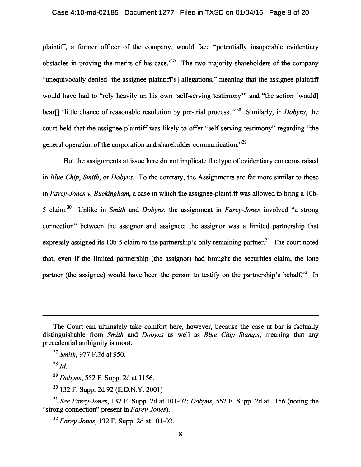### Case 4:10-md-02185 Document 1277 Filed in TXSD on 01/04/16 Page 8 of 20

plaintiff, a former officer of the company, would face "potentially insuperable evidentiary obstacles in proving the merits of his case."<sup>27</sup> The two majority shareholders of the company "unequivocally denied [the assignee-plaintiff's] allegations," meaning that the assignee-plaintiff would have had to "rely heavily on his own 'self-serving testimony'" and "the action [would] bear<sup>[]</sup> 'little chance of reasonable resolution by pre-trial process.'"<sup>28</sup> Similarly, in *Dobyns*, the court held that the assignee-plaintiff was likely to offer "self-serving testimony" regarding "the general operation of the corporation and shareholder communication."<sup>29</sup>

But the assignments at issue here do not implicate the type of evidentiary concerns raised in *Blue Chip* , *Smith* , or *Dobyns*. To the contrary, the Assignments are far more similar to those in *Farey-Jones v. Buckingham* , a case in which the assignee-plaintiff was allowed to bring a 10b-5 claim. 30 Unlike in *Smith* and *Dobyns*, the assignment in *Farey-Jones* involved "a strong connection" between the assignor and assignee; the assignor was a limited partnership that expressly assigned its 10b-5 claim to the partnership's only remaining partner.<sup>31</sup> The court noted that, even if the limited partnership (the assignor) had brought the securities claim, the lone partner (the assignee) would have been the person to testify on the partnership's behalf.<sup>32</sup> In

<sup>29</sup>*Dobyns*, 552 F. Supp. 2d at 1156.

<sup>30</sup>132 F. Supp. 2d 92 (E.D.N.Y. 2001)

<sup>31</sup>*See Farey-Jones*, 132 F. Supp. 2d at 101-02; *Dobyns*, 552 F. Supp. 2d at 1156 (noting the "strong connection" present in *Farey-Jones*).

<sup>32</sup>*Farey-Jones*, 132 F. Supp. 2d at 101-02.

The Court can ultimately take comfort here, however, because the case at bar is factually distinguishable from *Smith* and *Dobyns* as well as *Blue Chip Stamps*, meaning that any precedential ambiguity is moot.

<sup>&</sup>lt;sup>27</sup> Smith, 977 F.2d at 950.

<sup>28</sup>*Id*.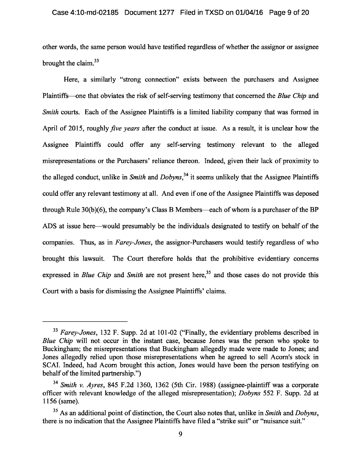#### Case 4:10-md-02185 Document 1277 Filed in TXSD on 01/04/16 Page 9 of 20

other words, the same person would have testified regardless of whether the assignor or assignee brought the claim.<sup>33</sup>

Here, a similarly "strong connection" exists between the purchasers and Assignee Plaintiffs—one that obviates the risk of self-serving testimony that concerned the *Blue Chip* and *Smith* courts. Each of the Assignee Plaintiffs is a limited liability company that was formed in April of 2015, roughly *five years* after the conduct at issue. As a result, it is unclear how the Assignee Plaintiffs could offer any self-serving testimony relevant to the alleged misrepresentations or the Purchasers' reliance thereon. Indeed, given their lack of proximity to the alleged conduct, unlike in *Smith* and *Dobyns*,<sup>34</sup> it seems unlikely that the Assignee Plaintiffs could offer any relevant testimony at all. And even if one of the Assignee Plaintiffs was deposed through Rule 30(b)(6), the company's Class B Members—each of whom is a purchaser of the BP ADS at issue here—would presumably be the individuals designated to testify on behalf of the companies. Thus, as in *Farey-Jones*, the assignor-Purchasers would testify regardless of who brought this lawsuit. The Court therefore holds that the prohibitive evidentiary concerns expressed in *Blue Chip* and *Smith* are not present here,<sup>35</sup> and those cases do not provide this Court with a basis for dismissing the Assignee Plaintiffs' claims.

<sup>33</sup>*Farey-Jones*, 132 F. Supp. 2d at 101-02 ("Finally, the evidentiary problems described in *Blue Chip* will not occur in the instant case, because Jones was the person who spoke to Buckingham; the misrepresentations that Buckingham allegedly made were made to Jones; and Jones allegedly relied upon those misrepresentations when he agreed to sell Acorn's stock in SCAI. Indeed, had Acorn brought this action, Jones would have been the person testifying on behalf of the limited partnership.")

<sup>&</sup>lt;sup>34</sup> Smith v. Ayres, 845 F.2d 1360, 1362 (5th Cir. 1988) (assignee-plaintiff was a corporate officer with relevant knowledge of the alleged misrepresentation); *Dobyns* 552 F. Supp. 2d at 1156 (same).

<sup>35</sup>As an additional point of distinction, the Court also notes that, unlike in *Smith* and *Dobyns*, there is no indication that the Assignee Plaintiffs have filed a "strike suit" or "nuisance suit."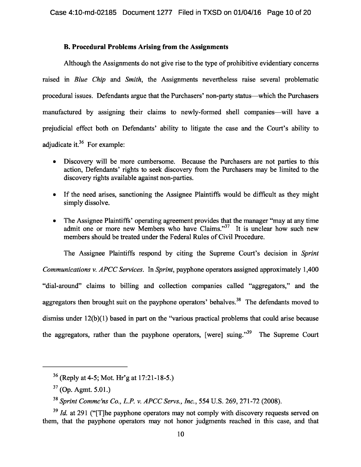## **B. Procedural Problems Arising from the Assignments**

Although the Assignments do not give rise to the type of prohibitive evidentiary concerns raised in *Blue Chip* and *Smith*, the Assignments nevertheless raise several problematic procedural issues. Defendants argue that the Purchasers' non-party status—which the Purchasers manufactured by assigning their claims to newly-formed shell companies—will have a prejudicial effect both on Defendants' ability to litigate the case and the Court's ability to adjudicate it. $36$  For example:

- Discovery will be more cumbersome. Because the Purchasers are not parties to this action, Defendants' rights to seek discovery from the Purchasers may be limited to the discovery rights available against non-parties.
- •If the need arises, sanctioning the Assignee Plaintiffs would be difficult as they might simply dissolve.
- The Assignee Plaintiffs' operating agreement provides that the manager "may at any time admit one or more new Members who have Claims."<sup>37</sup> It is unclear how such new members should be treated under the Federal Rules of Civil Procedure.

The Assignee Plaintiffs respond by citing the Supreme Court's decision in *Sprint Communications v. APCC Services.* In *Sprint*, payphone operators assigned approximately 1,400 "dial-around" claims to billing and collection companies called "aggregators," and the aggregators then brought suit on the payphone operators' behalves.<sup>38</sup> The defendants moved to dismiss under 12(b)(1) based in part on the "various practical problems that could arise because the aggregators, rather than the payphone operators, [were] suing. $139$  The Supreme Court

 $36$  (Reply at 4-5; Mot. Hr'g at 17:21-18-5.)

 $37$  (Op. Agmt. 5.01.)

<sup>38</sup>*Sprint Commc'ns Co., L.P. v. APCC Servs., Inc.* , 554 U.S. 269, 271-72 (2008).

<sup>&</sup>lt;sup>39</sup> *Id.* at 291 ("The payphone operators may not comply with discovery requests served on them, that the payphone operators may not honor judgments reached in this case, and that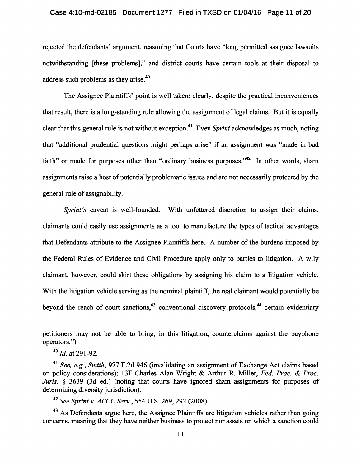### Case 4:10-md-02185 Document 1277 Filed in TXSD on 01/04/16 Page 11 of 20

rejected the defendants' argument, reasoning that Courts have "long permitted assignee lawsuits notwithstanding [these problems]," and district courts have certain tools at their disposal to address such problems as they arise. <sup>40</sup>

The Assignee Plaintiffs' point is well taken; clearly, despite the practical inconveniences that result, there is a long-standing rule allowing the assignment of legal claims. But it is equally clear that this general rule is not without exception. 41 Even *Sprint* acknowledges as much, noting that "additional prudential questions might perhaps arise" if an assignment was "made in bad faith" or made for purposes other than "ordinary business purposes." In other words, sham assignments raise a host of potentially problematic issues and are not necessarily protected by the general rule of assignability.

*Sprint's* caveat is well-founded. With unfettered discretion to assign their claims, claimants could easily use assignments as a tool to manufacture the types of tactical advantages that Defendants attribute to the Assignee Plaintiffs here. A number of the burdens imposed by the Federal Rules of Evidence and Civil Procedure apply only to parties to litigation. A wily claimant, however, could skirt these obligations by assigning his claim to a litigation vehicle. With the litigation vehicle serving as the nominal plaintiff, the real claimant would potentially be beyond the reach of court sanctions,  $43$  conventional discovery protocols,  $44$  certain evidentiary

<sup>42</sup>*See Sprint v. APCC Serv.* , 554 U.S. 269, 292 (2008).

<sup>43</sup> As Defendants argue here, the Assignee Plaintiffs are litigation vehicles rather than going concerns, meaning that they have neither business to protect nor assets on which a sanction could

petitioners may not be able to bring, in this litigation, counterclaims against the payphone operators.").

<sup>40</sup>*Id.* at 291-92.

<sup>&</sup>lt;sup>41</sup> See, e.g., Smith, 977 F.2d 946 (invalidating an assignment of Exchange Act claims based on policy considerations); 13F Charles Alan Wright & Arthur R. Miller, *Fed. Prac. & Proc. Juris.* § 3639 (3d ed.) (noting that courts have ignored sham assignments for purposes of determining diversity jurisdiction).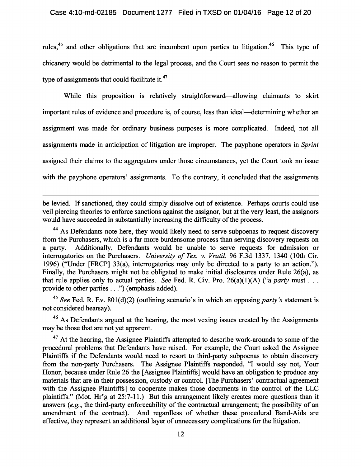rules,<sup>45</sup> and other obligations that are incumbent upon parties to litigation.<sup>46</sup> This type of chicanery would be detrimental to the legal process, and the Court sees no reason to permit the type of assignments that could facilitate it.<sup>47</sup>

While this proposition is relatively straightforward—allowing claimants to skirt important rules of evidence and procedure is, of course, less than ideal—determining whether an assignment was made for ordinary business purposes is more complicated. Indeed, not all assignments made in anticipation of litigation are improper. The payphone operators in *Sprint*  assigned their claims to the aggregators under those circumstances, yet the Court took no issue with the payphone operators' assignments. To the contrary, it concluded that the assignments

be levied. If sanctioned, they could simply dissolve out of existence. Perhaps courts could use veil piercing theories to enforce sanctions against the assignor, but at the very least, the assignors would have succeeded in substantially increasing the difficulty of the process.

<sup>44</sup> As Defendants note here, they would likely need to serve subpoenas to request discovery from the Purchasers, which is a far more burdensome process than serving discovery requests on a party. Additionally, Defendants would be unable to serve requests for admission or interrogatories on the Purchasers. *University of Tex. v. Vratil*, 96 F.3d 1337, 1340 (10th Cir. 1996) ("Under [FRCP] 33(a), interrogatories may only be directed to a party to an action."). Finally, the Purchasers might not be obligated to make initial disclosures under Rule 26(a), as that rule applies only to actual parties. *See* Fed. R. Civ. Pro.  $26(a)(1)(A)$  ("a *party* must . . . provide to other parties . . .") (emphasis added).

<sup>45</sup>*See* Fed. R. Ev. 801(d)(2) (outlining scenario's in which an opposing *party's* statement is not considered hearsay).

<sup>46</sup> As Defendants argued at the hearing, the most vexing issues created by the Assignments may be those that are not yet apparent.

<sup>47</sup> At the hearing, the Assignee Plaintiffs attempted to describe work-arounds to some of the procedural problems that Defendants have raised. For example, the Court asked the Assignee Plaintiffs if the Defendants would need to resort to third-party subpoenas to obtain discovery from the non-party Purchasers. The Assignee Plaintiffs responded, "I would say not, Your Honor, because under Rule 26 the [Assignee Plaintiffs] would have an obligation to produce any materials that are in their possession, custody or control. [The Purchasers' contractual agreement with the Assignee Plaintiffs] to cooperate makes those documents in the control of the LLC plaintiffs." (Mot. Hr'g at 25:7-11.) But this arrangement likely creates more questions than it answers (*e.g.* , the third-party enforceability of the contractual arrangement; the possibility of an amendment of the contract). And regardless of whether these procedural Band-Aids are effective, they represent an additional layer of unnecessary complications for the litigation.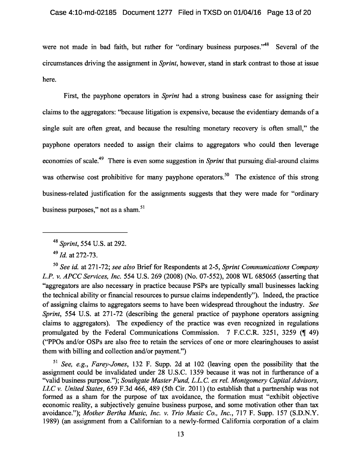were not made in bad faith, but rather for "ordinary business purposes."<sup>48</sup> Several of the circumstances driving the assignment in *Sprint*, however, stand in stark contrast to those at issue here.

First, the payphone operators in *Sprint* had a strong business case for assigning their claims to the aggregators: "because litigation is expensive, because the evidentiary demands of a single suit are often great, and because the resulting monetary recovery is often small," the payphone operators needed to assign their claims to aggregators who could then leverage economies of scale.<sup>49</sup> There is even some suggestion in *Sprint* that pursuing dial-around claims was otherwise cost prohibitive for many payphone operators.<sup>50</sup> The existence of this strong business-related justification for the assignments suggests that they were made for "ordinary business purposes," not as a sham.<sup>51</sup>

<sup>50</sup>*See id.* at 271-72; *see also* Brief for Respondents at 2-5, *Sprint Communications Company L.P. v. APCC Services, Inc.* 554 U.S. 269 (2008) (No. 07-552), 2008 WL 685065 (asserting that "aggregators are also necessary in practice because PSPs are typically small businesses lacking the technical ability or financial resources to pursue claims independently"). Indeed, the practice of assigning claims to aggregators seems to have been widespread throughout the industry. *See Sprint*, 554 U.S. at 271-72 (describing the general practice of payphone operators assigning claims to aggregators). The expediency of the practice was even recognized in regulations promulgated by the Federal Communications Commission.  $7 \text{ F.C.C.R. } 3251, 3259 \text{ (I49)}$ ("PPOs and/or OSPs are also free to retain the services of one or more clearinghouses to assist them with billing and collection and/or payment.")

<sup>51</sup>*See, e.g.* , *Farey-Jones*, 132 F. Supp. 2d at 102 (leaving open the possibility that the assignment could be invalidated under 28 U.S.C. 1359 because it was not in furtherance of a "valid business purpose."); *Southgate Master Fund, L.L.C. ex rel. Montgomery Capital Advisors, LLC v. United States* , 659 F.3d 466, 489 (5th Cir. 2011) (to establish that a partnership was not formed as a sham for the purpose of tax avoidance, the formation must "exhibit objective economic reality, a subjectively genuine business purpose, and some motivation other than tax avoidance."); *Mother Bertha Music, Inc. v. Trio Music Co., Inc.*, 717 F. Supp. 157 (S.D.N.Y. 1989) (an assignment from a Californian to a newly-formed California corporation of a claim

<sup>48</sup>*Sprint*, 554 U.S. at 292.

<sup>49</sup>*Id.* at 272-73.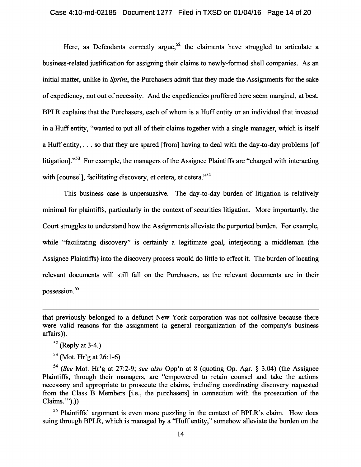Here, as Defendants correctly argue,<sup>52</sup> the claimants have struggled to articulate a business-related justification for assigning their claims to newly-formed shell companies. As an initial matter, unlike in *Sprint*, the Purchasers admit that they made the Assignments for the sake of expediency, not out of necessity. And the expediencies proffered here seem marginal, at best. BPLR explains that the Purchasers, each of whom is a Huff entity or an individual that invested in a Huff entity, "wanted to put all of their claims together with a single manager, which is itself a Huff entity, . . . so that they are spared [from] having to deal with the day-to-day problems [of litigation]."<sup>53</sup> For example, the managers of the Assignee Plaintiffs are "charged with interacting with [counsel], facilitating discovery, et cetera, et cetera."<sup>54</sup>

This business case is unpersuasive. The day-to-day burden of litigation is relatively minimal for plaintiffs, particularly in the context of securities litigation. More importantly, the Court struggles to understand how the Assignments alleviate the purported burden. For example, while "facilitating discovery" is certainly a legitimate goal, interjecting a middleman (the Assignee Plaintiffs) into the discovery process would do little to effect it. The burden of locating relevant documents will still fall on the Purchasers, as the relevant documents are in their possession. <sup>55</sup>

 $53$  (Mot. Hr'g at 26:1-6)

<sup>55</sup> Plaintiffs' argument is even more puzzling in the context of BPLR's claim. How does suing through BPLR, which is managed by a "Huff entity," somehow alleviate the burden on the

that previously belonged to a defunct New York corporation was not collusive because there were valid reasons for the assignment (a general reorganization of the company's business affairs)).

 $52$  (Reply at 3-4.)

<sup>54</sup>(*See* Mot. Hr'g at 27:2-9; *see also* Opp'n at 8 (quoting Op. Agr. § 3.04) (the Assignee Plaintiffs, through their managers, are "empowered to retain counsel and take the actions necessary and appropriate to prosecute the claims, including coordinating discovery requested from the Class B Members [i.e., the purchasers] in connection with the prosecution of the Claims.'").))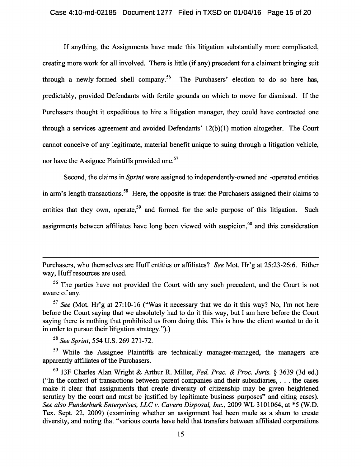If anything, the Assignments have made this litigation substantially more complicated, creating more work for all involved. There is little (if any) precedent for a claimant bringing suit through a newly-formed shell company.<sup>56</sup> The Purchasers' election to do so here has, predictably, provided Defendants with fertile grounds on which to move for dismissal. If the Purchasers thought it expeditious to hire a litigation manager, they could have contracted one through a services agreement and avoided Defendants' 12(b)(1) motion altogether. The Court cannot conceive of any legitimate, material benefit unique to suing through a litigation vehicle, nor have the Assignee Plaintiffs provided one.<sup>57</sup>

Second, the claims in *Sprint* were assigned to independently-owned and -operated entities in arm's length transactions.<sup>58</sup> Here, the opposite is true: the Purchasers assigned their claims to entities that they own, operate,<sup>59</sup> and formed for the sole purpose of this litigation. Such assignments between affiliates have long been viewed with suspicion,<sup>60</sup> and this consideration

<sup>58</sup>*See Sprint*, 554 U.S. 269 271-72.

<sup>59</sup> While the Assignee Plaintiffs are technically manager-managed, the managers are apparently affiliates of the Purchasers.

Purchasers, who themselves are Huff entities or affiliates? *See* Mot. Hr'g at 25:23-26:6. Either way, Huff resources are used.

<sup>&</sup>lt;sup>56</sup> The parties have not provided the Court with any such precedent, and the Court is not aware of any.

<sup>57</sup>*See* (Mot. Hr'g at 27:10-16 ("Was it necessary that we do it this way? No, I'm not here before the Court saying that we absolutely had to do it this way, but I am here before the Court saying there is nothing that prohibited us from doing this. This is how the client wanted to do it in order to pursue their litigation strategy.").)

<sup>60</sup>13F Charles Alan Wright & Arthur R. Miller, *Fed. Prac. & Proc. Juris.* § 3639 (3d ed.) ("In the context of transactions between parent companies and their subsidiaries, . . . the cases make it clear that assignments that create diversity of citizenship may be given heightened scrutiny by the court and must be justified by legitimate business purposes" and citing cases). *See also Funderburk Enterprises, LLC v. Cavern Disposal, Inc.* , 2009 WL 3101064, at \*5 (W.D. Tex. Sept. 22, 2009) (examining whether an assignment had been made as a sham to create diversity, and noting that "various courts have held that transfers between affiliated corporations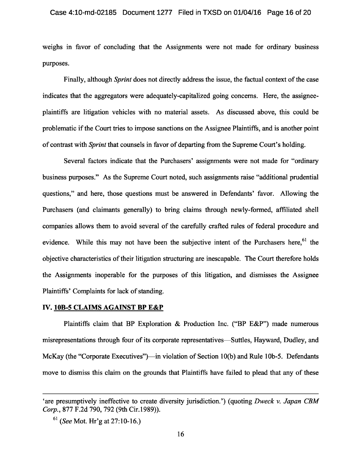weighs in favor of concluding that the Assignments were not made for ordinary business purposes.

Finally, although *Sprint* does not directly address the issue, the factual context of the case indicates that the aggregators were adequately-capitalized going concerns. Here, the assigneeplaintiffs are litigation vehicles with no material assets. As discussed above, this could be problematic if the Court tries to impose sanctions on the Assignee Plaintiffs, and is another point of contrast with *Sprint* that counsels in favor of departing from the Supreme Court's holding.

Several factors indicate that the Purchasers' assignments were not made for "ordinary business purposes." As the Supreme Court noted, such assignments raise "additional prudential questions," and here, those questions must be answered in Defendants' favor. Allowing the Purchasers (and claimants generally) to bring claims through newly-formed, affiliated shell companies allows them to avoid several of the carefully crafted rules of federal procedure and evidence. While this may not have been the subjective intent of the Purchasers here, <sup>61</sup> the objective characteristics of their litigation structuring are inescapable. The Court therefore holds the Assignments inoperable for the purposes of this litigation, and dismisses the Assignee Plaintiffs' Complaints for lack of standing.

#### **IV. 10B-5 CLAIMS AGAINST BP E&P**

Plaintiffs claim that BP Exploration & Production Inc. ("BP E&P") made numerous misrepresentations through four of its corporate representatives—Suttles, Hayward, Dudley, and McKay (the "Corporate Executives")—in violation of Section 10(b) and Rule 10b-5. Defendants move to dismiss this claim on the grounds that Plaintiffs have failed to plead that any of these

<sup>&#</sup>x27;are presumptively ineffective to create diversity jurisdiction.') (quoting *Dweck v. Japan CBM Corp.*, 877 F.2d 790, 792 (9th Cir.1989)).

<sup>61</sup>(*See* Mot. Hr'g at 27:10-16.)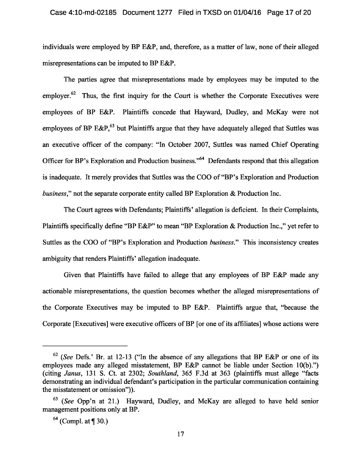individuals were employed by BP E&P, and, therefore, as a matter of law, none of their alleged misrepresentations can be imputed to BP E&P.

The parties agree that misrepresentations made by employees may be imputed to the employer.<sup> $62$ </sup> Thus, the first inquiry for the Court is whether the Corporate Executives were employees of BP E&P. Plaintiffs concede that Hayward, Dudley, and McKay were not employees of BP E&P,  $63$  but Plaintiffs argue that they have adequately alleged that Suttles was an executive officer of the company: "In October 2007, Suttles was named Chief Operating Officer for BP's Exploration and Production business."<sup>64</sup> Defendants respond that this allegation is inadequate. It merely provides that Suttles was the COO of "BP's Exploration and Production *business*," not the separate corporate entity called BP Exploration & Production Inc.

The Court agrees with Defendants; Plaintiffs' allegation is deficient. In their Complaints, Plaintiffs specifically define "BP E&P" to mean "BP Exploration & Production Inc.," yet refer to Suttles as the COO of "BP's Exploration and Production *business*." This inconsistency creates ambiguity that renders Plaintiffs' allegation inadequate.

Given that Plaintiffs have failed to allege that any employees of BP E&P made any actionable misrepresentations, the question becomes whether the alleged misrepresentations of the Corporate Executives may be imputed to BP E&P. Plaintiffs argue that, "because the Corporate [Executives] were executive officers of BP [or one of its affiliates] whose actions were

<sup>62</sup>(*See* Defs.' Br. at 12-13 ("In the absence of any allegations that BP E&P or one of its employees made any alleged misstatement, BP E&P cannot be liable under Section 10(b).") (citing *Janus*, 131 S. Ct. at 2302; *Southland*, 365 F.3d at 363 (plaintiffs must allege "facts demonstrating an individual defendant's participation in the particular communication containing the misstatement or omission")).

<sup>63</sup>(*See* Opp'n at 21.) Hayward, Dudley, and McKay are alleged to have held senior management positions only at BP.

 $^{64}$  (Compl. at ¶ 30.)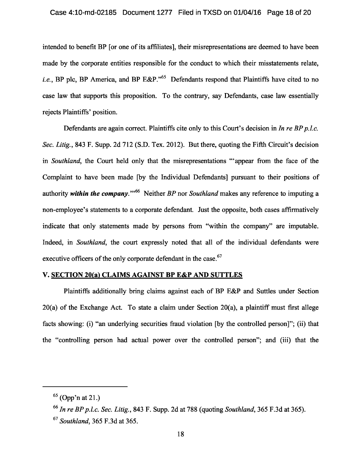intended to benefit BP [or one of its affiliates], their misrepresentations are deemed to have been made by the corporate entities responsible for the conduct to which their misstatements relate, *i.e.*, BP plc, BP America, and BP E&P."<sup>65</sup> Defendants respond that Plaintiffs have cited to no case law that supports this proposition. To the contrary, say Defendants, case law essentially rejects Plaintiffs' position.

Defendants are again correct. Plaintiffs cite only to this Court's decision in *In re BP p.l.c. Sec. Litig.* , 843 F. Supp. 2d 712 (S.D. Tex. 2012). But there, quoting the Fifth Circuit's decision in *Southland*, the Court held only that the misrepresentations "'appear from the face of the Complaint to have been made [by the Individual Defendants] pursuant to their positions of authority *within the company*."<sup>66</sup> Neither *BP* nor *Southland* makes any reference to imputing a non-employee's statements to a corporate defendant. Just the opposite, both cases affirmatively indicate that only statements made by persons from "within the company" are imputable. Indeed, in *Southland*, the court expressly noted that all of the individual defendants were executive officers of the only corporate defendant in the case.<sup>67</sup>

## **V. SECTION 20(a) CLAIMS AGAINST BP E&P AND SUTTLES**

Plaintiffs additionally bring claims against each of BP E&P and Suttles under Section 20(a) of the Exchange Act. To state a claim under Section 20(a), a plaintiff must first allege facts showing: (i) "an underlying securities fraud violation [by the controlled person]"; (ii) that the "controlling person had actual power over the controlled person"; and (iii) that the

 $65$  (Opp'n at 21.)

<sup>66</sup>*In re BP p.l.c. Sec. Litig.* , 843 F. Supp. 2d at 788 (quoting *Southland*, 365 F.3d at 365).

<sup>67</sup>*Southland*, 365 F.3d at 365.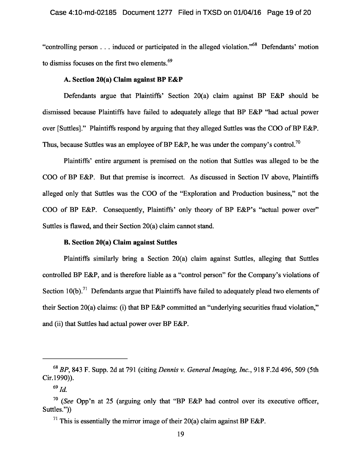"controlling person . . . induced or participated in the alleged violation." 68 Defendants' motion to dismiss focuses on the first two elements.<sup>69</sup>

## **A. Section 20(a) Claim against BP E&P**

Defendants argue that Plaintiffs' Section 20(a) claim against BP E&P should be dismissed because Plaintiffs have failed to adequately allege that BP E&P "had actual power over [Suttles]." Plaintiffs respond by arguing that they alleged Suttles was the COO of BP E&P. Thus, because Suttles was an employee of BP E&P, he was under the company's control.<sup>70</sup>

Plaintiffs' entire argument is premised on the notion that Suttles was alleged to be the COO of BP E&P. But that premise is incorrect. As discussed in Section IV above, Plaintiffs alleged only that Suttles was the COO of the "Exploration and Production business," not the COO of BP E&P. Consequently, Plaintiffs' only theory of BP E&P's "actual power over" Suttles is flawed, and their Section 20(a) claim cannot stand.

## **B. Section 20(a) Claim against Suttles**

Plaintiffs similarly bring a Section 20(a) claim against Suttles, alleging that Suttles controlled BP E&P, and is therefore liable as a "control person" for the Company's violations of Section 10(b).<sup>71</sup> Defendants argue that Plaintiffs have failed to adequately plead two elements of their Section 20(a) claims: (i) that BP E&P committed an "underlying securities fraud violation," and (ii) that Suttles had actual power over BP E&P.

<sup>68</sup>*BP*, 843 F. Supp. 2d at 791 (citing *Dennis v. General Imaging, Inc.* , 918 F.2d 496, 509 (5th Cir.1990)).

 $69$  *Id.* 

<sup>70</sup>(*See* Opp'n at 25 (arguing only that "BP E&P had control over its executive officer, Suttles."))

<sup>&</sup>lt;sup>71</sup> This is essentially the mirror image of their 20(a) claim against BP E&P.